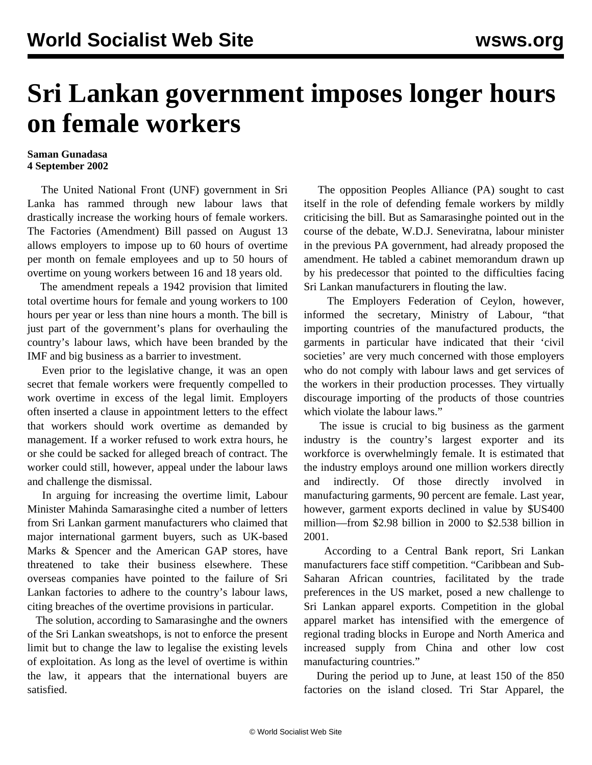## **Sri Lankan government imposes longer hours on female workers**

## **Saman Gunadasa 4 September 2002**

 The United National Front (UNF) government in Sri Lanka has rammed through new labour laws that drastically increase the working hours of female workers. The Factories (Amendment) Bill passed on August 13 allows employers to impose up to 60 hours of overtime per month on female employees and up to 50 hours of overtime on young workers between 16 and 18 years old.

 The amendment repeals a 1942 provision that limited total overtime hours for female and young workers to 100 hours per year or less than nine hours a month. The bill is just part of the government's plans for overhauling the country's labour laws, which have been branded by the IMF and big business as a barrier to investment.

 Even prior to the legislative change, it was an open secret that female workers were frequently compelled to work overtime in excess of the legal limit. Employers often inserted a clause in appointment letters to the effect that workers should work overtime as demanded by management. If a worker refused to work extra hours, he or she could be sacked for alleged breach of contract. The worker could still, however, appeal under the labour laws and challenge the dismissal.

 In arguing for increasing the overtime limit, Labour Minister Mahinda Samarasinghe cited a number of letters from Sri Lankan garment manufacturers who claimed that major international garment buyers, such as UK-based Marks & Spencer and the American GAP stores, have threatened to take their business elsewhere. These overseas companies have pointed to the failure of Sri Lankan factories to adhere to the country's labour laws, citing breaches of the overtime provisions in particular.

 The solution, according to Samarasinghe and the owners of the Sri Lankan sweatshops, is not to enforce the present limit but to change the law to legalise the existing levels of exploitation. As long as the level of overtime is within the law, it appears that the international buyers are satisfied.

 The opposition Peoples Alliance (PA) sought to cast itself in the role of defending female workers by mildly criticising the bill. But as Samarasinghe pointed out in the course of the debate, W.D.J. Seneviratna, labour minister in the previous PA government, had already proposed the amendment. He tabled a cabinet memorandum drawn up by his predecessor that pointed to the difficulties facing Sri Lankan manufacturers in flouting the law.

 The Employers Federation of Ceylon, however, informed the secretary, Ministry of Labour, "that importing countries of the manufactured products, the garments in particular have indicated that their 'civil societies' are very much concerned with those employers who do not comply with labour laws and get services of the workers in their production processes. They virtually discourage importing of the products of those countries which violate the labour laws."

 The issue is crucial to big business as the garment industry is the country's largest exporter and its workforce is overwhelmingly female. It is estimated that the industry employs around one million workers directly and indirectly. Of those directly involved in manufacturing garments, 90 percent are female. Last year, however, garment exports declined in value by \$US400 million—from \$2.98 billion in 2000 to \$2.538 billion in 2001.

 According to a Central Bank report, Sri Lankan manufacturers face stiff competition. "Caribbean and Sub-Saharan African countries, facilitated by the trade preferences in the US market, posed a new challenge to Sri Lankan apparel exports. Competition in the global apparel market has intensified with the emergence of regional trading blocks in Europe and North America and increased supply from China and other low cost manufacturing countries."

 During the period up to June, at least 150 of the 850 factories on the island closed. Tri Star Apparel, the